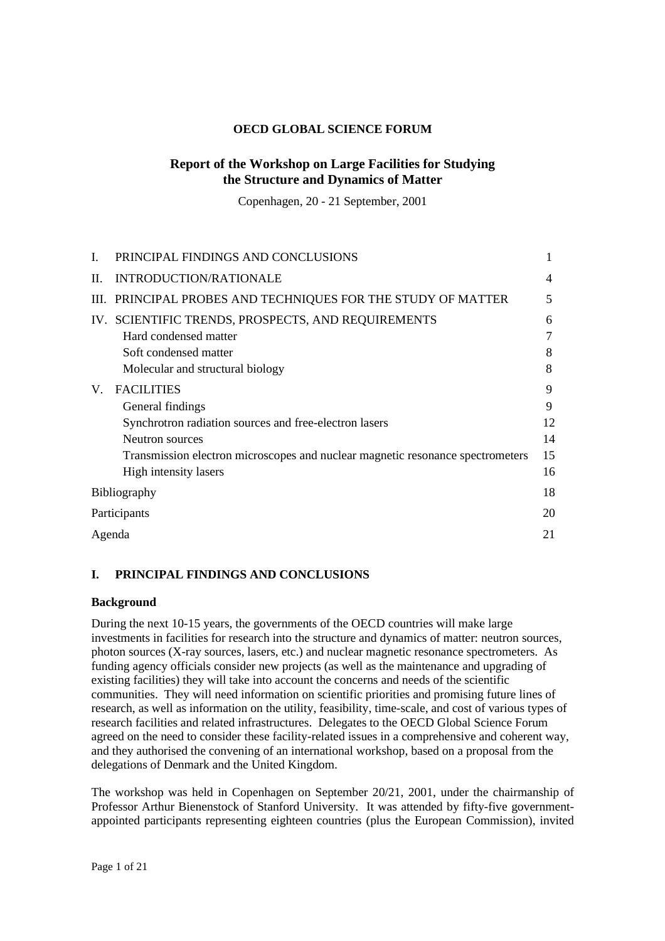## **OECD GLOBAL SCIENCE FORUM**

# **Report of the Workshop on Large Facilities for Studying the Structure and Dynamics of Matter**

Copenhagen, 20 - 21 September, 2001

|         | PRINCIPAL FINDINGS AND CONCLUSIONS                                             |    |
|---------|--------------------------------------------------------------------------------|----|
| $\Pi$ . | INTRODUCTION/RATIONALE                                                         | 4  |
|         | III. PRINCIPAL PROBES AND TECHNIQUES FOR THE STUDY OF MATTER                   | 5  |
|         | IV. SCIENTIFIC TRENDS, PROSPECTS, AND REQUIREMENTS                             | 6  |
|         | Hard condensed matter                                                          | 7  |
|         | Soft condensed matter                                                          | 8  |
|         | Molecular and structural biology                                               | 8  |
| V.      | <b>FACILITIES</b>                                                              | 9  |
|         | General findings                                                               | 9  |
|         | Synchrotron radiation sources and free-electron lasers                         | 12 |
|         | Neutron sources                                                                | 14 |
|         | Transmission electron microscopes and nuclear magnetic resonance spectrometers | 15 |
|         | High intensity lasers                                                          | 16 |
|         | <b>Bibliography</b>                                                            | 18 |
|         | Participants                                                                   | 20 |
|         | Agenda                                                                         |    |

## **I. PRINCIPAL FINDINGS AND CONCLUSIONS**

## **Background**

During the next 10-15 years, the governments of the OECD countries will make large investments in facilities for research into the structure and dynamics of matter: neutron sources, photon sources (X-ray sources, lasers, etc.) and nuclear magnetic resonance spectrometers. As funding agency officials consider new projects (as well as the maintenance and upgrading of existing facilities) they will take into account the concerns and needs of the scientific communities. They will need information on scientific priorities and promising future lines of research, as well as information on the utility, feasibility, time-scale, and cost of various types of research facilities and related infrastructures. Delegates to the OECD Global Science Forum agreed on the need to consider these facility-related issues in a comprehensive and coherent way, and they authorised the convening of an international workshop, based on a proposal from the delegations of Denmark and the United Kingdom.

The workshop was held in Copenhagen on September 20/21, 2001, under the chairmanship of Professor Arthur Bienenstock of Stanford University. It was attended by fifty-five governmentappointed participants representing eighteen countries (plus the European Commission), invited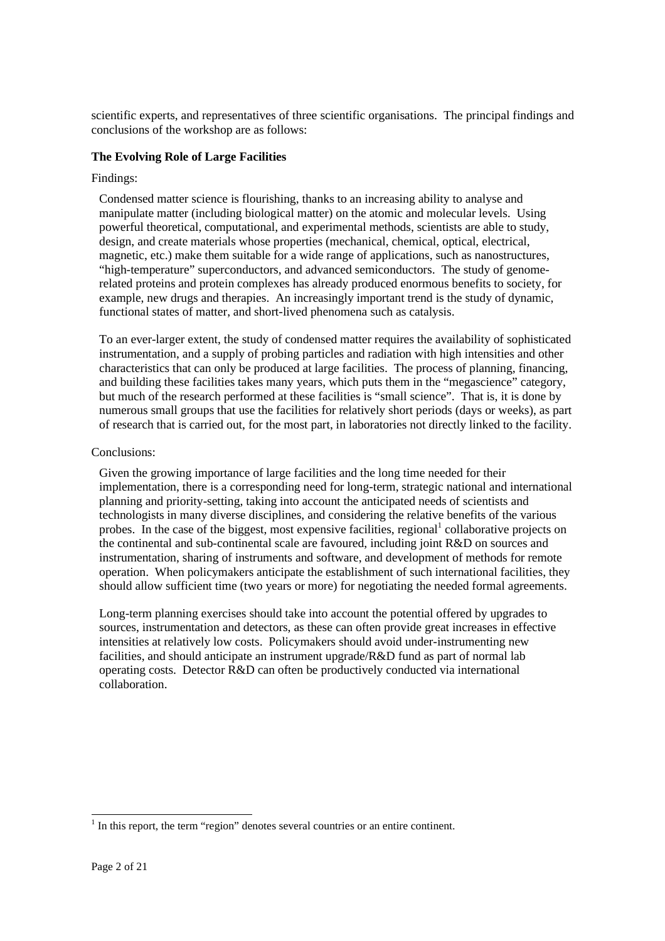scientific experts, and representatives of three scientific organisations. The principal findings and conclusions of the workshop are as follows:

## **The Evolving Role of Large Facilities**

### Findings:

Condensed matter science is flourishing, thanks to an increasing ability to analyse and manipulate matter (including biological matter) on the atomic and molecular levels. Using powerful theoretical, computational, and experimental methods, scientists are able to study, design, and create materials whose properties (mechanical, chemical, optical, electrical, magnetic, etc.) make them suitable for a wide range of applications, such as nanostructures, "high-temperature" superconductors, and advanced semiconductors. The study of genomerelated proteins and protein complexes has already produced enormous benefits to society, for example, new drugs and therapies. An increasingly important trend is the study of dynamic, functional states of matter, and short-lived phenomena such as catalysis.

To an ever-larger extent, the study of condensed matter requires the availability of sophisticated instrumentation, and a supply of probing particles and radiation with high intensities and other characteristics that can only be produced at large facilities. The process of planning, financing, and building these facilities takes many years, which puts them in the "megascience" category, but much of the research performed at these facilities is "small science". That is, it is done by numerous small groups that use the facilities for relatively short periods (days or weeks), as part of research that is carried out, for the most part, in laboratories not directly linked to the facility.

### Conclusions:

Given the growing importance of large facilities and the long time needed for their implementation, there is a corresponding need for long-term, strategic national and international planning and priority-setting, taking into account the anticipated needs of scientists and technologists in many diverse disciplines, and considering the relative benefits of the various probes. In the case of the biggest, most expensive facilities, regional<sup>1</sup> collaborative projects on the continental and sub-continental scale are favoured, including joint R&D on sources and instrumentation, sharing of instruments and software, and development of methods for remote operation. When policymakers anticipate the establishment of such international facilities, they should allow sufficient time (two years or more) for negotiating the needed formal agreements.

Long-term planning exercises should take into account the potential offered by upgrades to sources, instrumentation and detectors, as these can often provide great increases in effective intensities at relatively low costs. Policymakers should avoid under-instrumenting new facilities, and should anticipate an instrument upgrade/R&D fund as part of normal lab operating costs. Detector R&D can often be productively conducted via international collaboration.

 $<sup>1</sup>$  In this report, the term "region" denotes several countries or an entire continent.</sup>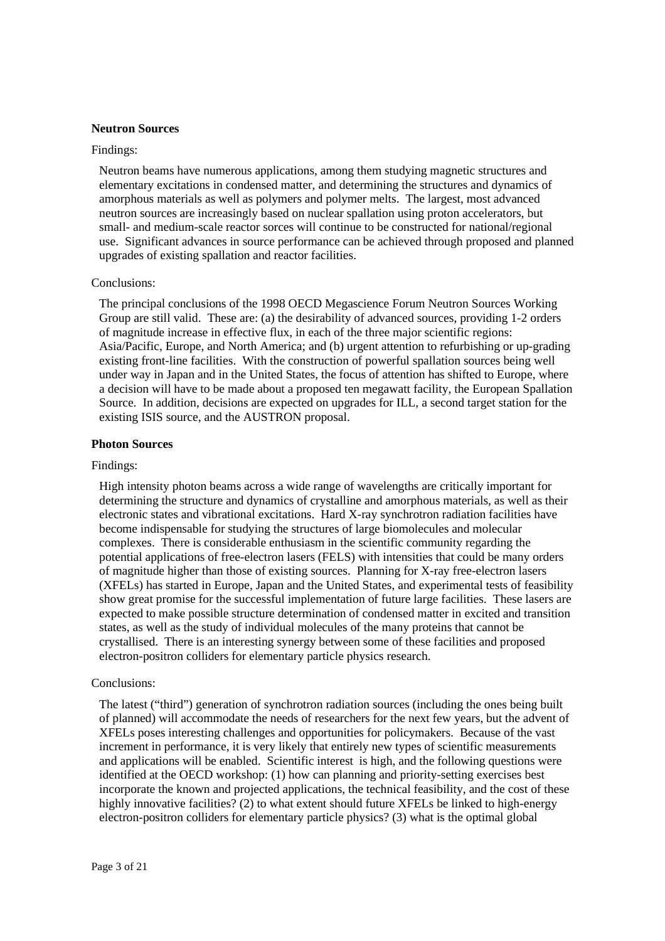### **Neutron Sources**

#### Findings:

Neutron beams have numerous applications, among them studying magnetic structures and elementary excitations in condensed matter, and determining the structures and dynamics of amorphous materials as well as polymers and polymer melts. The largest, most advanced neutron sources are increasingly based on nuclear spallation using proton accelerators, but small- and medium-scale reactor sorces will continue to be constructed for national/regional use. Significant advances in source performance can be achieved through proposed and planned upgrades of existing spallation and reactor facilities.

### Conclusions:

The principal conclusions of the 1998 OECD Megascience Forum Neutron Sources Working Group are still valid. These are: (a) the desirability of advanced sources, providing 1-2 orders of magnitude increase in effective flux, in each of the three major scientific regions: Asia/Pacific, Europe, and North America; and (b) urgent attention to refurbishing or up-grading existing front-line facilities. With the construction of powerful spallation sources being well under way in Japan and in the United States, the focus of attention has shifted to Europe, where a decision will have to be made about a proposed ten megawatt facility, the European Spallation Source. In addition, decisions are expected on upgrades for ILL, a second target station for the existing ISIS source, and the AUSTRON proposal.

### **Photon Sources**

### Findings:

High intensity photon beams across a wide range of wavelengths are critically important for determining the structure and dynamics of crystalline and amorphous materials, as well as their electronic states and vibrational excitations. Hard X-ray synchrotron radiation facilities have become indispensable for studying the structures of large biomolecules and molecular complexes. There is considerable enthusiasm in the scientific community regarding the potential applications of free-electron lasers (FELS) with intensities that could be many orders of magnitude higher than those of existing sources. Planning for X-ray free-electron lasers (XFELs) has started in Europe, Japan and the United States, and experimental tests of feasibility show great promise for the successful implementation of future large facilities. These lasers are expected to make possible structure determination of condensed matter in excited and transition states, as well as the study of individual molecules of the many proteins that cannot be crystallised. There is an interesting synergy between some of these facilities and proposed electron-positron colliders for elementary particle physics research.

### Conclusions:

The latest ("third") generation of synchrotron radiation sources (including the ones being built of planned) will accommodate the needs of researchers for the next few years, but the advent of XFELs poses interesting challenges and opportunities for policymakers. Because of the vast increment in performance, it is very likely that entirely new types of scientific measurements and applications will be enabled. Scientific interest is high, and the following questions were identified at the OECD workshop: (1) how can planning and priority-setting exercises best incorporate the known and projected applications, the technical feasibility, and the cost of these highly innovative facilities? (2) to what extent should future XFELs be linked to high-energy electron-positron colliders for elementary particle physics? (3) what is the optimal global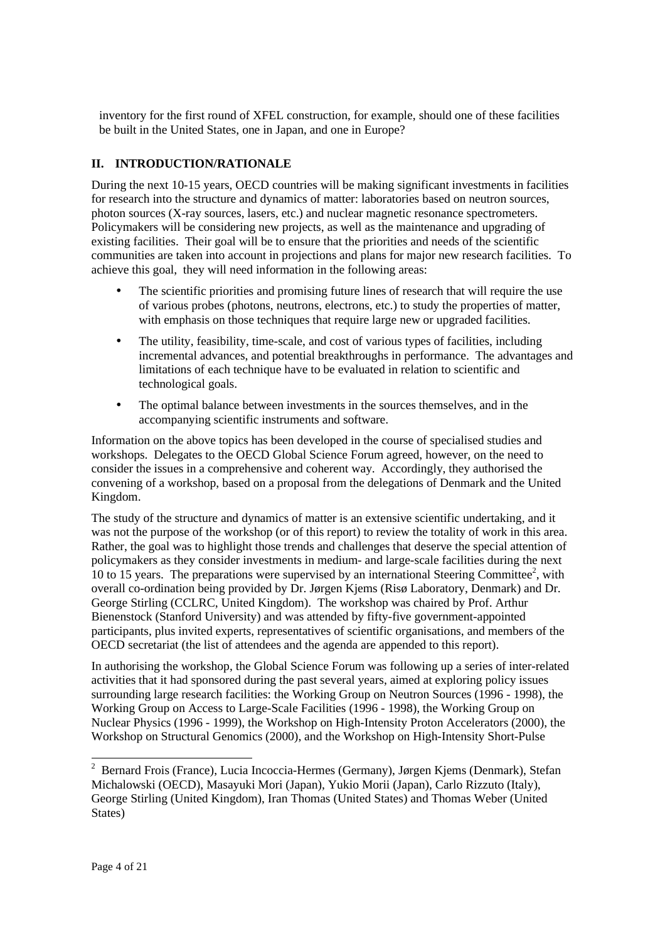inventory for the first round of XFEL construction, for example, should one of these facilities be built in the United States, one in Japan, and one in Europe?

# **II. INTRODUCTION/RATIONALE**

During the next 10-15 years, OECD countries will be making significant investments in facilities for research into the structure and dynamics of matter: laboratories based on neutron sources, photon sources (X-ray sources, lasers, etc.) and nuclear magnetic resonance spectrometers. Policymakers will be considering new projects, as well as the maintenance and upgrading of existing facilities. Their goal will be to ensure that the priorities and needs of the scientific communities are taken into account in projections and plans for major new research facilities. To achieve this goal, they will need information in the following areas:

- The scientific priorities and promising future lines of research that will require the use of various probes (photons, neutrons, electrons, etc.) to study the properties of matter, with emphasis on those techniques that require large new or upgraded facilities.
- The utility, feasibility, time-scale, and cost of various types of facilities, including incremental advances, and potential breakthroughs in performance. The advantages and limitations of each technique have to be evaluated in relation to scientific and technological goals.
- The optimal balance between investments in the sources themselves, and in the accompanying scientific instruments and software.

Information on the above topics has been developed in the course of specialised studies and workshops. Delegates to the OECD Global Science Forum agreed, however, on the need to consider the issues in a comprehensive and coherent way. Accordingly, they authorised the convening of a workshop, based on a proposal from the delegations of Denmark and the United Kingdom.

The study of the structure and dynamics of matter is an extensive scientific undertaking, and it was not the purpose of the workshop (or of this report) to review the totality of work in this area. Rather, the goal was to highlight those trends and challenges that deserve the special attention of policymakers as they consider investments in medium- and large-scale facilities during the next 10 to 15 years. The preparations were supervised by an international Steering Committee<sup>2</sup>, with overall co-ordination being provided by Dr. Jørgen Kjems (Risø Laboratory, Denmark) and Dr. George Stirling (CCLRC, United Kingdom). The workshop was chaired by Prof. Arthur Bienenstock (Stanford University) and was attended by fifty-five government-appointed participants, plus invited experts, representatives of scientific organisations, and members of the OECD secretariat (the list of attendees and the agenda are appended to this report).

In authorising the workshop, the Global Science Forum was following up a series of inter-related activities that it had sponsored during the past several years, aimed at exploring policy issues surrounding large research facilities: the Working Group on Neutron Sources (1996 - 1998), the Working Group on Access to Large-Scale Facilities (1996 - 1998), the Working Group on Nuclear Physics (1996 - 1999), the Workshop on High-Intensity Proton Accelerators (2000), the Workshop on Structural Genomics (2000), and the Workshop on High-Intensity Short-Pulse

<sup>&</sup>lt;sup>2</sup> Bernard Frois (France), Lucia Incoccia-Hermes (Germany), Jørgen Kjems (Denmark), Stefan Michalowski (OECD), Masayuki Mori (Japan), Yukio Morii (Japan), Carlo Rizzuto (Italy), George Stirling (United Kingdom), Iran Thomas (United States) and Thomas Weber (United States)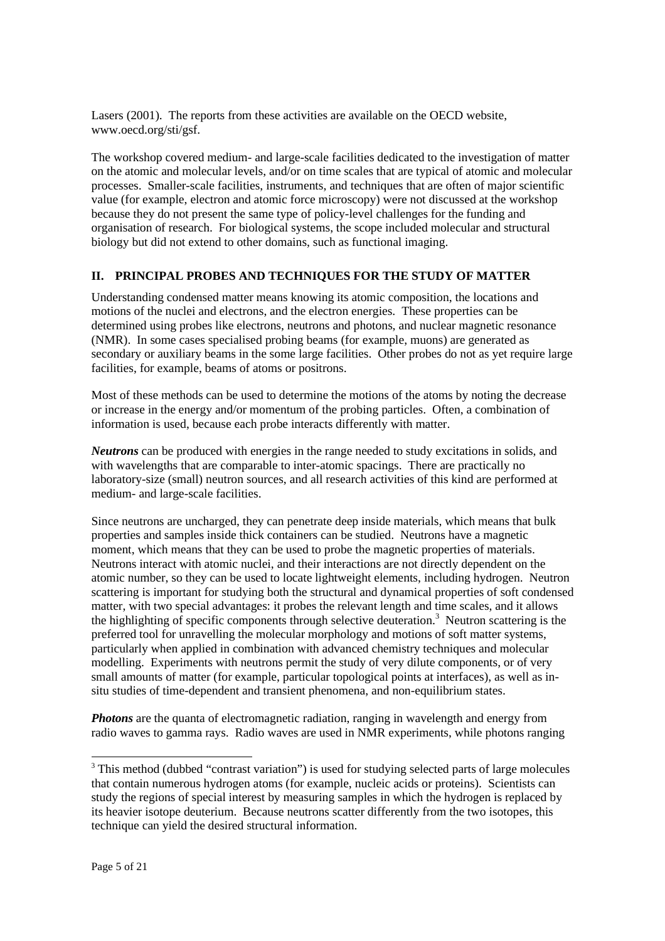Lasers (2001). The reports from these activities are available on the OECD website, www.oecd.org/sti/gsf.

The workshop covered medium- and large-scale facilities dedicated to the investigation of matter on the atomic and molecular levels, and/or on time scales that are typical of atomic and molecular processes. Smaller-scale facilities, instruments, and techniques that are often of major scientific value (for example, electron and atomic force microscopy) were not discussed at the workshop because they do not present the same type of policy-level challenges for the funding and organisation of research. For biological systems, the scope included molecular and structural biology but did not extend to other domains, such as functional imaging.

## **II. PRINCIPAL PROBES AND TECHNIQUES FOR THE STUDY OF MATTER**

Understanding condensed matter means knowing its atomic composition, the locations and motions of the nuclei and electrons, and the electron energies. These properties can be determined using probes like electrons, neutrons and photons, and nuclear magnetic resonance (NMR). In some cases specialised probing beams (for example, muons) are generated as secondary or auxiliary beams in the some large facilities. Other probes do not as yet require large facilities, for example, beams of atoms or positrons.

Most of these methods can be used to determine the motions of the atoms by noting the decrease or increase in the energy and/or momentum of the probing particles. Often, a combination of information is used, because each probe interacts differently with matter.

*Neutrons* can be produced with energies in the range needed to study excitations in solids, and with wavelengths that are comparable to inter-atomic spacings. There are practically no laboratory-size (small) neutron sources, and all research activities of this kind are performed at medium- and large-scale facilities.

Since neutrons are uncharged, they can penetrate deep inside materials, which means that bulk properties and samples inside thick containers can be studied. Neutrons have a magnetic moment, which means that they can be used to probe the magnetic properties of materials. Neutrons interact with atomic nuclei, and their interactions are not directly dependent on the atomic number, so they can be used to locate lightweight elements, including hydrogen. Neutron scattering is important for studying both the structural and dynamical properties of soft condensed matter, with two special advantages: it probes the relevant length and time scales, and it allows the highlighting of specific components through selective deuteration.<sup>3</sup> Neutron scattering is the preferred tool for unravelling the molecular morphology and motions of soft matter systems, particularly when applied in combination with advanced chemistry techniques and molecular modelling. Experiments with neutrons permit the study of very dilute components, or of very small amounts of matter (for example, particular topological points at interfaces), as well as insitu studies of time-dependent and transient phenomena, and non-equilibrium states.

*Photons* are the quanta of electromagnetic radiation, ranging in wavelength and energy from radio waves to gamma rays. Radio waves are used in NMR experiments, while photons ranging

<sup>&</sup>lt;sup>3</sup> This method (dubbed "contrast variation") is used for studying selected parts of large molecules that contain numerous hydrogen atoms (for example, nucleic acids or proteins). Scientists can study the regions of special interest by measuring samples in which the hydrogen is replaced by its heavier isotope deuterium. Because neutrons scatter differently from the two isotopes, this technique can yield the desired structural information.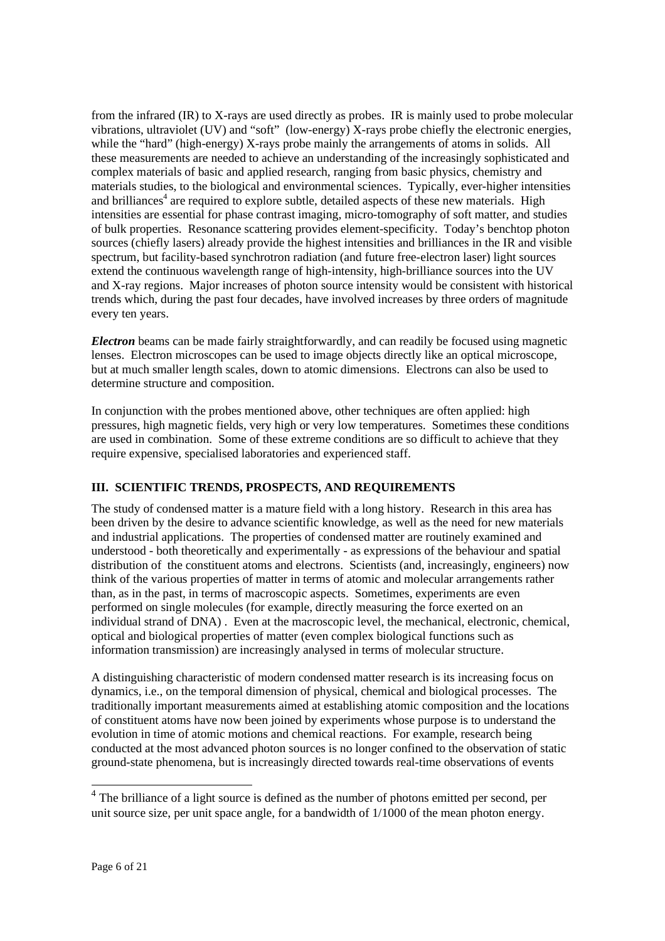from the infrared (IR) to X-rays are used directly as probes. IR is mainly used to probe molecular vibrations, ultraviolet (UV) and "soft" (low-energy) X-rays probe chiefly the electronic energies, while the "hard" (high-energy) X-rays probe mainly the arrangements of atoms in solids. All these measurements are needed to achieve an understanding of the increasingly sophisticated and complex materials of basic and applied research, ranging from basic physics, chemistry and materials studies, to the biological and environmental sciences. Typically, ever-higher intensities and brilliances<sup>4</sup> are required to explore subtle, detailed aspects of these new materials. High intensities are essential for phase contrast imaging, micro-tomography of soft matter, and studies of bulk properties. Resonance scattering provides element-specificity. Today's benchtop photon sources (chiefly lasers) already provide the highest intensities and brilliances in the IR and visible spectrum, but facility-based synchrotron radiation (and future free-electron laser) light sources extend the continuous wavelength range of high-intensity, high-brilliance sources into the UV and X-ray regions. Major increases of photon source intensity would be consistent with historical trends which, during the past four decades, have involved increases by three orders of magnitude every ten years.

*Electron* beams can be made fairly straightforwardly, and can readily be focused using magnetic lenses. Electron microscopes can be used to image objects directly like an optical microscope, but at much smaller length scales, down to atomic dimensions. Electrons can also be used to determine structure and composition.

In conjunction with the probes mentioned above, other techniques are often applied: high pressures, high magnetic fields, very high or very low temperatures. Sometimes these conditions are used in combination. Some of these extreme conditions are so difficult to achieve that they require expensive, specialised laboratories and experienced staff.

# **III. SCIENTIFIC TRENDS, PROSPECTS, AND REQUIREMENTS**

The study of condensed matter is a mature field with a long history. Research in this area has been driven by the desire to advance scientific knowledge, as well as the need for new materials and industrial applications. The properties of condensed matter are routinely examined and understood - both theoretically and experimentally - as expressions of the behaviour and spatial distribution of the constituent atoms and electrons. Scientists (and, increasingly, engineers) now think of the various properties of matter in terms of atomic and molecular arrangements rather than, as in the past, in terms of macroscopic aspects. Sometimes, experiments are even performed on single molecules (for example, directly measuring the force exerted on an individual strand of DNA) . Even at the macroscopic level, the mechanical, electronic, chemical, optical and biological properties of matter (even complex biological functions such as information transmission) are increasingly analysed in terms of molecular structure.

A distinguishing characteristic of modern condensed matter research is its increasing focus on dynamics, i.e., on the temporal dimension of physical, chemical and biological processes. The traditionally important measurements aimed at establishing atomic composition and the locations of constituent atoms have now been joined by experiments whose purpose is to understand the evolution in time of atomic motions and chemical reactions. For example, research being conducted at the most advanced photon sources is no longer confined to the observation of static ground-state phenomena, but is increasingly directed towards real-time observations of events

-

 $4<sup>4</sup>$  The brilliance of a light source is defined as the number of photons emitted per second, per unit source size, per unit space angle, for a bandwidth of  $1/1000$  of the mean photon energy.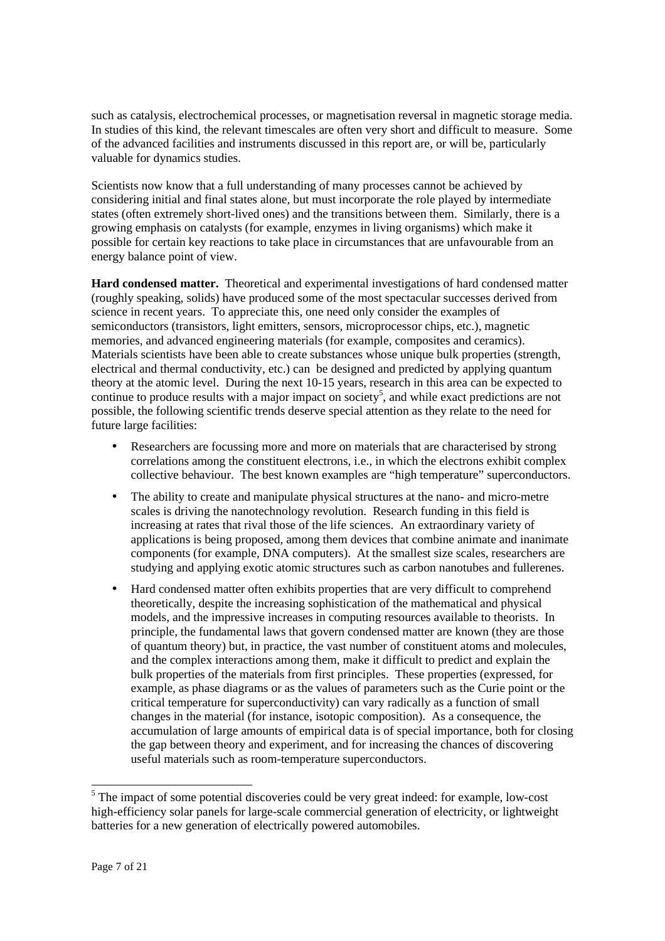such as catalysis, electrochemical processes, or magnetisation reversal in magnetic storage media. In studies of this kind, the relevant timescales are often very short and difficult to measure. Some of the advanced facilities and instruments discussed in this report are, or will be, particularly valuable for dynamics studies.

Scientists now know that a full understanding of many processes cannot be achieved by considering initial and final states alone, but must incorporate the role played by intermediate states (often extremely short-lived ones) and the transitions between them. Similarly, there is a growing emphasis on catalysts (for example, enzymes in living organisms) which make it possible for certain key reactions to take place in circumstances that are unfavourable from an energy balance point of view.

**Hard condensed matter.** Theoretical and experimental investigations of hard condensed matter (roughly speaking, solids) have produced some of the most spectacular successes derived from science in recent years. To appreciate this, one need only consider the examples of semiconductors (transistors, light emitters, sensors, microprocessor chips, etc.), magnetic memories, and advanced engineering materials (for example, composites and ceramics). Materials scientists have been able to create substances whose unique bulk properties (strength, electrical and thermal conductivity, etc.) can be designed and predicted by applying quantum theory at the atomic level. During the next 10-15 years, research in this area can be expected to continue to produce results with a major impact on society<sup>5</sup>, and while exact predictions are not possible, the following scientific trends deserve special attention as they relate to the need for future large facilities:

- Researchers are focussing more and more on materials that are characterised by strong correlations among the constituent electrons, i.e., in which the electrons exhibit complex collective behaviour. The best known examples are "high temperature" superconductors.
- The ability to create and manipulate physical structures at the nano- and micro-metre scales is driving the nanotechnology revolution. Research funding in this field is increasing at rates that rival those of the life sciences. An extraordinary variety of applications is being proposed, among them devices that combine animate and inanimate components (for example, DNA computers). At the smallest size scales, researchers are studying and applying exotic atomic structures such as carbon nanotubes and fullerenes.
- Hard condensed matter often exhibits properties that are very difficult to comprehend theoretically, despite the increasing sophistication of the mathematical and physical models, and the impressive increases in computing resources available to theorists. In principle, the fundamental laws that govern condensed matter are known (they are those of quantum theory) but, in practice, the vast number of constituent atoms and molecules, and the complex interactions among them, make it difficult to predict and explain the bulk properties of the materials from first principles. These properties (expressed, for example, as phase diagrams or as the values of parameters such as the Curie point or the critical temperature for superconductivity) can vary radically as a function of small changes in the material (for instance, isotopic composition). As a consequence, the accumulation of large amounts of empirical data is of special importance, both for closing the gap between theory and experiment, and for increasing the chances of discovering useful materials such as room-temperature superconductors.

-

<sup>&</sup>lt;sup>5</sup> The impact of some potential discoveries could be very great indeed: for example, low-cost high-efficiency solar panels for large-scale commercial generation of electricity, or lightweight batteries for a new generation of electrically powered automobiles.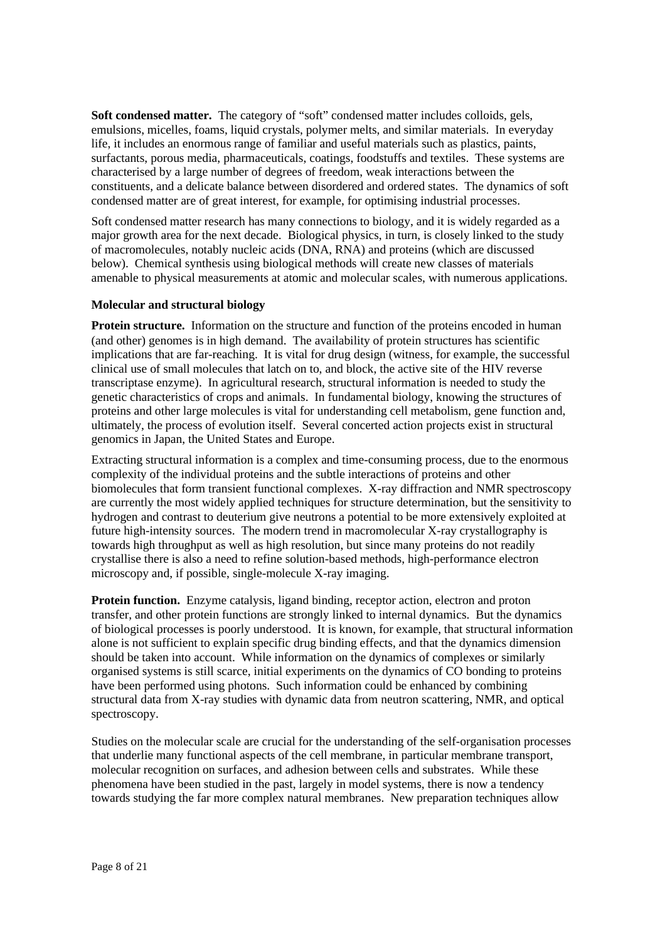**Soft condensed matter.** The category of "soft" condensed matter includes colloids, gels, emulsions, micelles, foams, liquid crystals, polymer melts, and similar materials. In everyday life, it includes an enormous range of familiar and useful materials such as plastics, paints, surfactants, porous media, pharmaceuticals, coatings, foodstuffs and textiles. These systems are characterised by a large number of degrees of freedom, weak interactions between the constituents, and a delicate balance between disordered and ordered states. The dynamics of soft condensed matter are of great interest, for example, for optimising industrial processes.

Soft condensed matter research has many connections to biology, and it is widely regarded as a major growth area for the next decade. Biological physics, in turn, is closely linked to the study of macromolecules, notably nucleic acids (DNA, RNA) and proteins (which are discussed below). Chemical synthesis using biological methods will create new classes of materials amenable to physical measurements at atomic and molecular scales, with numerous applications.

## **Molecular and structural biology**

**Protein structure.** Information on the structure and function of the proteins encoded in human (and other) genomes is in high demand. The availability of protein structures has scientific implications that are far-reaching. It is vital for drug design (witness, for example, the successful clinical use of small molecules that latch on to, and block, the active site of the HIV reverse transcriptase enzyme). In agricultural research, structural information is needed to study the genetic characteristics of crops and animals. In fundamental biology, knowing the structures of proteins and other large molecules is vital for understanding cell metabolism, gene function and, ultimately, the process of evolution itself. Several concerted action projects exist in structural genomics in Japan, the United States and Europe.

Extracting structural information is a complex and time-consuming process, due to the enormous complexity of the individual proteins and the subtle interactions of proteins and other biomolecules that form transient functional complexes. X-ray diffraction and NMR spectroscopy are currently the most widely applied techniques for structure determination, but the sensitivity to hydrogen and contrast to deuterium give neutrons a potential to be more extensively exploited at future high-intensity sources. The modern trend in macromolecular X-ray crystallography is towards high throughput as well as high resolution, but since many proteins do not readily crystallise there is also a need to refine solution-based methods, high-performance electron microscopy and, if possible, single-molecule X-ray imaging.

**Protein function.** Enzyme catalysis, ligand binding, receptor action, electron and proton transfer, and other protein functions are strongly linked to internal dynamics. But the dynamics of biological processes is poorly understood. It is known, for example, that structural information alone is not sufficient to explain specific drug binding effects, and that the dynamics dimension should be taken into account. While information on the dynamics of complexes or similarly organised systems is still scarce, initial experiments on the dynamics of CO bonding to proteins have been performed using photons. Such information could be enhanced by combining structural data from X-ray studies with dynamic data from neutron scattering, NMR, and optical spectroscopy.

Studies on the molecular scale are crucial for the understanding of the self-organisation processes that underlie many functional aspects of the cell membrane, in particular membrane transport, molecular recognition on surfaces, and adhesion between cells and substrates. While these phenomena have been studied in the past, largely in model systems, there is now a tendency towards studying the far more complex natural membranes. New preparation techniques allow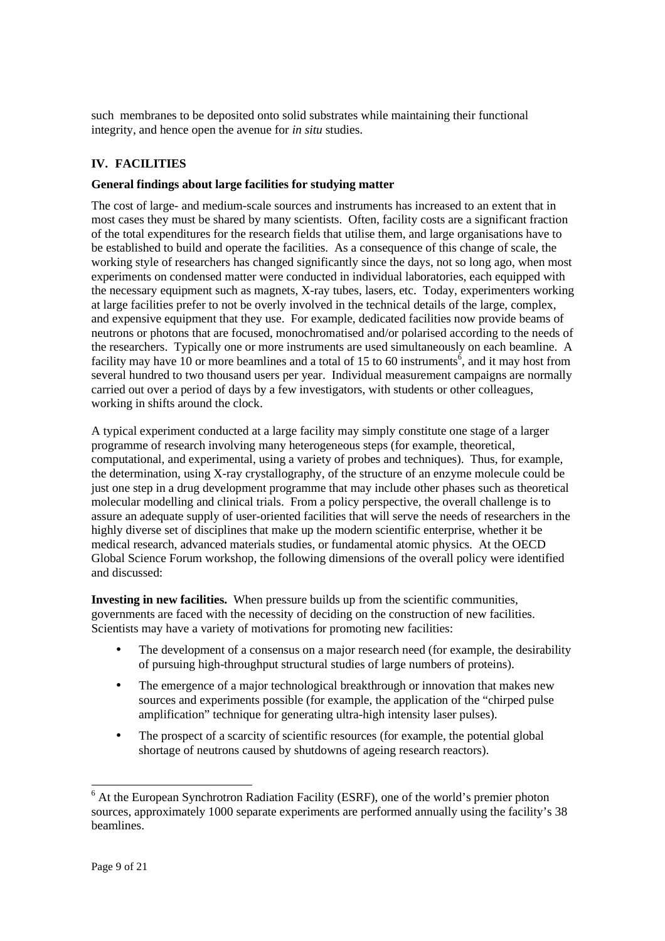such membranes to be deposited onto solid substrates while maintaining their functional integrity, and hence open the avenue for *in situ* studies.

# **IV. FACILITIES**

## **General findings about large facilities for studying matter**

The cost of large- and medium-scale sources and instruments has increased to an extent that in most cases they must be shared by many scientists. Often, facility costs are a significant fraction of the total expenditures for the research fields that utilise them, and large organisations have to be established to build and operate the facilities. As a consequence of this change of scale, the working style of researchers has changed significantly since the days, not so long ago, when most experiments on condensed matter were conducted in individual laboratories, each equipped with the necessary equipment such as magnets, X-ray tubes, lasers, etc. Today, experimenters working at large facilities prefer to not be overly involved in the technical details of the large, complex, and expensive equipment that they use. For example, dedicated facilities now provide beams of neutrons or photons that are focused, monochromatised and/or polarised according to the needs of the researchers. Typically one or more instruments are used simultaneously on each beamline. A facility may have 10 or more beamlines and a total of 15 to 60 instruments<sup>6</sup>, and it may host from several hundred to two thousand users per year. Individual measurement campaigns are normally carried out over a period of days by a few investigators, with students or other colleagues, working in shifts around the clock.

A typical experiment conducted at a large facility may simply constitute one stage of a larger programme of research involving many heterogeneous steps (for example, theoretical, computational, and experimental, using a variety of probes and techniques). Thus, for example, the determination, using X-ray crystallography, of the structure of an enzyme molecule could be just one step in a drug development programme that may include other phases such as theoretical molecular modelling and clinical trials. From a policy perspective, the overall challenge is to assure an adequate supply of user-oriented facilities that will serve the needs of researchers in the highly diverse set of disciplines that make up the modern scientific enterprise, whether it be medical research, advanced materials studies, or fundamental atomic physics. At the OECD Global Science Forum workshop, the following dimensions of the overall policy were identified and discussed:

**Investing in new facilities.** When pressure builds up from the scientific communities, governments are faced with the necessity of deciding on the construction of new facilities. Scientists may have a variety of motivations for promoting new facilities:

- The development of a consensus on a major research need (for example, the desirability of pursuing high-throughput structural studies of large numbers of proteins).
- The emergence of a major technological breakthrough or innovation that makes new sources and experiments possible (for example, the application of the "chirped pulse amplification" technique for generating ultra-high intensity laser pulses).
- The prospect of a scarcity of scientific resources (for example, the potential global shortage of neutrons caused by shutdowns of ageing research reactors).

<sup>-</sup><sup>6</sup> At the European Synchrotron Radiation Facility (ESRF), one of the world's premier photon sources, approximately 1000 separate experiments are performed annually using the facility's 38 beamlines.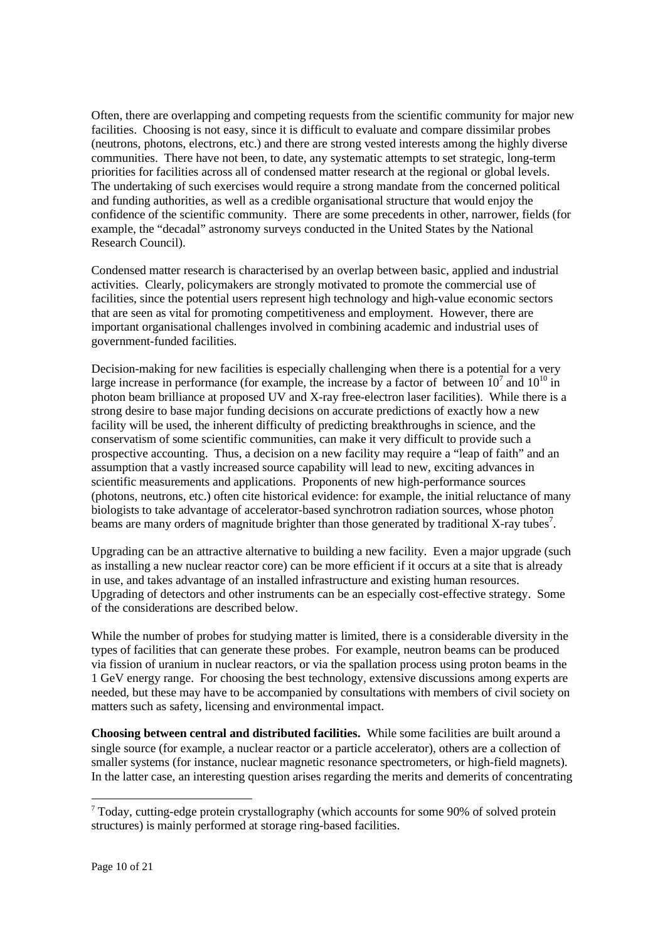Often, there are overlapping and competing requests from the scientific community for major new facilities. Choosing is not easy, since it is difficult to evaluate and compare dissimilar probes (neutrons, photons, electrons, etc.) and there are strong vested interests among the highly diverse communities. There have not been, to date, any systematic attempts to set strategic, long-term priorities for facilities across all of condensed matter research at the regional or global levels. The undertaking of such exercises would require a strong mandate from the concerned political and funding authorities, as well as a credible organisational structure that would enjoy the confidence of the scientific community. There are some precedents in other, narrower, fields (for example, the "decadal" astronomy surveys conducted in the United States by the National Research Council).

Condensed matter research is characterised by an overlap between basic, applied and industrial activities. Clearly, policymakers are strongly motivated to promote the commercial use of facilities, since the potential users represent high technology and high-value economic sectors that are seen as vital for promoting competitiveness and employment. However, there are important organisational challenges involved in combining academic and industrial uses of government-funded facilities.

Decision-making for new facilities is especially challenging when there is a potential for a very large increase in performance (for example, the increase by a factor of between  $10^7$  and  $10^{10}$  in photon beam brilliance at proposed UV and X-ray free-electron laser facilities). While there is a strong desire to base major funding decisions on accurate predictions of exactly how a new facility will be used, the inherent difficulty of predicting breakthroughs in science, and the conservatism of some scientific communities, can make it very difficult to provide such a prospective accounting. Thus, a decision on a new facility may require a "leap of faith" and an assumption that a vastly increased source capability will lead to new, exciting advances in scientific measurements and applications. Proponents of new high-performance sources (photons, neutrons, etc.) often cite historical evidence: for example, the initial reluctance of many biologists to take advantage of accelerator-based synchrotron radiation sources, whose photon beams are many orders of magnitude brighter than those generated by traditional X-ray tubes<sup>7</sup>.

Upgrading can be an attractive alternative to building a new facility. Even a major upgrade (such as installing a new nuclear reactor core) can be more efficient if it occurs at a site that is already in use, and takes advantage of an installed infrastructure and existing human resources. Upgrading of detectors and other instruments can be an especially cost-effective strategy. Some of the considerations are described below.

While the number of probes for studying matter is limited, there is a considerable diversity in the types of facilities that can generate these probes. For example, neutron beams can be produced via fission of uranium in nuclear reactors, or via the spallation process using proton beams in the 1 GeV energy range. For choosing the best technology, extensive discussions among experts are needed, but these may have to be accompanied by consultations with members of civil society on matters such as safety, licensing and environmental impact.

**Choosing between central and distributed facilities.** While some facilities are built around a single source (for example, a nuclear reactor or a particle accelerator), others are a collection of smaller systems (for instance, nuclear magnetic resonance spectrometers, or high-field magnets). In the latter case, an interesting question arises regarding the merits and demerits of concentrating

 $7$  Today, cutting-edge protein crystallography (which accounts for some 90% of solved protein structures) is mainly performed at storage ring-based facilities.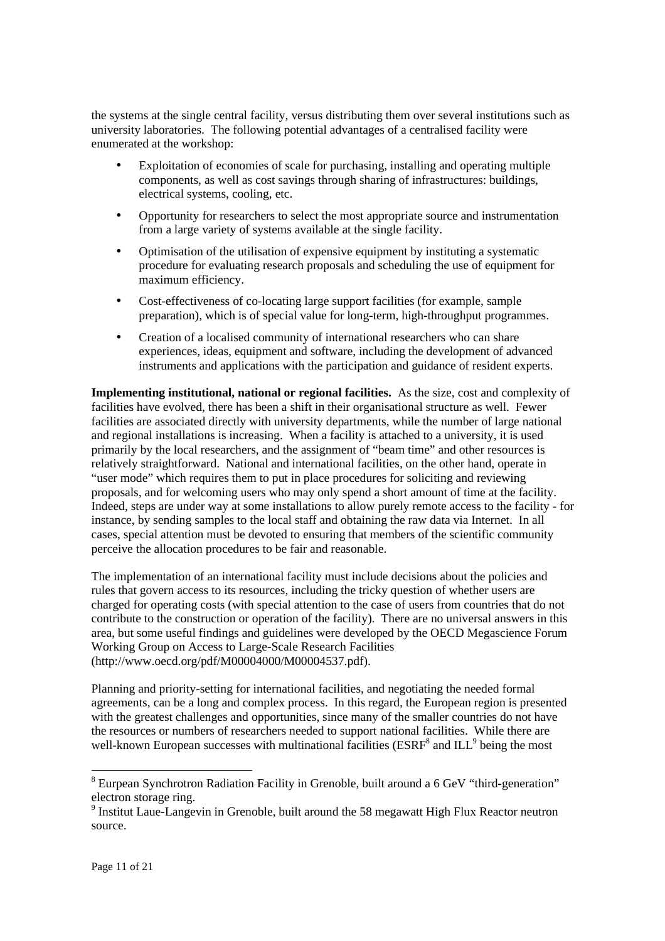the systems at the single central facility, versus distributing them over several institutions such as university laboratories. The following potential advantages of a centralised facility were enumerated at the workshop:

- Exploitation of economies of scale for purchasing, installing and operating multiple components, as well as cost savings through sharing of infrastructures: buildings, electrical systems, cooling, etc.
- Opportunity for researchers to select the most appropriate source and instrumentation from a large variety of systems available at the single facility.
- Optimisation of the utilisation of expensive equipment by instituting a systematic procedure for evaluating research proposals and scheduling the use of equipment for maximum efficiency.
- Cost-effectiveness of co-locating large support facilities (for example, sample preparation), which is of special value for long-term, high-throughput programmes.
- Creation of a localised community of international researchers who can share experiences, ideas, equipment and software, including the development of advanced instruments and applications with the participation and guidance of resident experts.

**Implementing institutional, national or regional facilities.** As the size, cost and complexity of facilities have evolved, there has been a shift in their organisational structure as well. Fewer facilities are associated directly with university departments, while the number of large national and regional installations is increasing. When a facility is attached to a university, it is used primarily by the local researchers, and the assignment of "beam time" and other resources is relatively straightforward. National and international facilities, on the other hand, operate in "user mode" which requires them to put in place procedures for soliciting and reviewing proposals, and for welcoming users who may only spend a short amount of time at the facility. Indeed, steps are under way at some installations to allow purely remote access to the facility - for instance, by sending samples to the local staff and obtaining the raw data via Internet. In all cases, special attention must be devoted to ensuring that members of the scientific community perceive the allocation procedures to be fair and reasonable.

The implementation of an international facility must include decisions about the policies and rules that govern access to its resources, including the tricky question of whether users are charged for operating costs (with special attention to the case of users from countries that do not contribute to the construction or operation of the facility). There are no universal answers in this area, but some useful findings and guidelines were developed by the OECD Megascience Forum Working Group on Access to Large-Scale Research Facilities (http://www.oecd.org/pdf/M00004000/M00004537.pdf).

Planning and priority-setting for international facilities, and negotiating the needed formal agreements, can be a long and complex process. In this regard, the European region is presented with the greatest challenges and opportunities, since many of the smaller countries do not have the resources or numbers of researchers needed to support national facilities. While there are well-known European successes with multinational facilities (ESRF<sup>8</sup> and  $ILL<sup>9</sup>$  being the most

<sup>&</sup>lt;sup>8</sup> Eurpean Synchrotron Radiation Facility in Grenoble, built around a 6 GeV "third-generation" electron storage ring.

<sup>&</sup>lt;sup>9</sup> Institut Laue-Langevin in Grenoble, built around the 58 megawatt High Flux Reactor neutron source.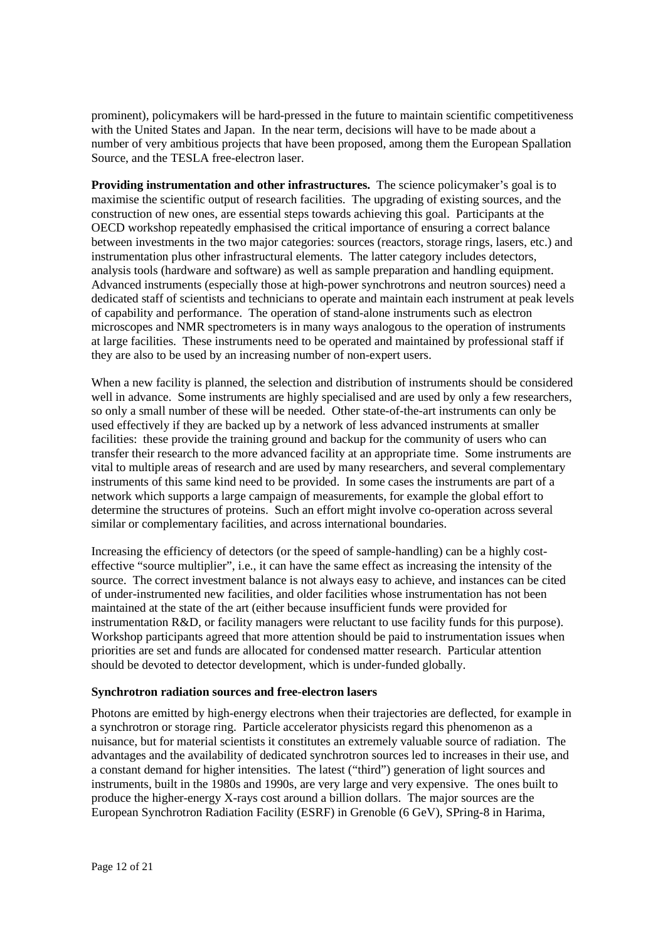prominent), policymakers will be hard-pressed in the future to maintain scientific competitiveness with the United States and Japan. In the near term, decisions will have to be made about a number of very ambitious projects that have been proposed, among them the European Spallation Source, and the TESLA free-electron laser.

**Providing instrumentation and other infrastructures.** The science policymaker's goal is to maximise the scientific output of research facilities. The upgrading of existing sources, and the construction of new ones, are essential steps towards achieving this goal. Participants at the OECD workshop repeatedly emphasised the critical importance of ensuring a correct balance between investments in the two major categories: sources (reactors, storage rings, lasers, etc.) and instrumentation plus other infrastructural elements. The latter category includes detectors, analysis tools (hardware and software) as well as sample preparation and handling equipment. Advanced instruments (especially those at high-power synchrotrons and neutron sources) need a dedicated staff of scientists and technicians to operate and maintain each instrument at peak levels of capability and performance. The operation of stand-alone instruments such as electron microscopes and NMR spectrometers is in many ways analogous to the operation of instruments at large facilities. These instruments need to be operated and maintained by professional staff if they are also to be used by an increasing number of non-expert users.

When a new facility is planned, the selection and distribution of instruments should be considered well in advance. Some instruments are highly specialised and are used by only a few researchers, so only a small number of these will be needed. Other state-of-the-art instruments can only be used effectively if they are backed up by a network of less advanced instruments at smaller facilities: these provide the training ground and backup for the community of users who can transfer their research to the more advanced facility at an appropriate time. Some instruments are vital to multiple areas of research and are used by many researchers, and several complementary instruments of this same kind need to be provided. In some cases the instruments are part of a network which supports a large campaign of measurements, for example the global effort to determine the structures of proteins. Such an effort might involve co-operation across several similar or complementary facilities, and across international boundaries.

Increasing the efficiency of detectors (or the speed of sample-handling) can be a highly costeffective "source multiplier", i.e., it can have the same effect as increasing the intensity of the source. The correct investment balance is not always easy to achieve, and instances can be cited of under-instrumented new facilities, and older facilities whose instrumentation has not been maintained at the state of the art (either because insufficient funds were provided for instrumentation R&D, or facility managers were reluctant to use facility funds for this purpose). Workshop participants agreed that more attention should be paid to instrumentation issues when priorities are set and funds are allocated for condensed matter research. Particular attention should be devoted to detector development, which is under-funded globally.

## **Synchrotron radiation sources and free-electron lasers**

Photons are emitted by high-energy electrons when their trajectories are deflected, for example in a synchrotron or storage ring. Particle accelerator physicists regard this phenomenon as a nuisance, but for material scientists it constitutes an extremely valuable source of radiation. The advantages and the availability of dedicated synchrotron sources led to increases in their use, and a constant demand for higher intensities. The latest ("third") generation of light sources and instruments, built in the 1980s and 1990s, are very large and very expensive. The ones built to produce the higher-energy X-rays cost around a billion dollars. The major sources are the European Synchrotron Radiation Facility (ESRF) in Grenoble (6 GeV), SPring-8 in Harima,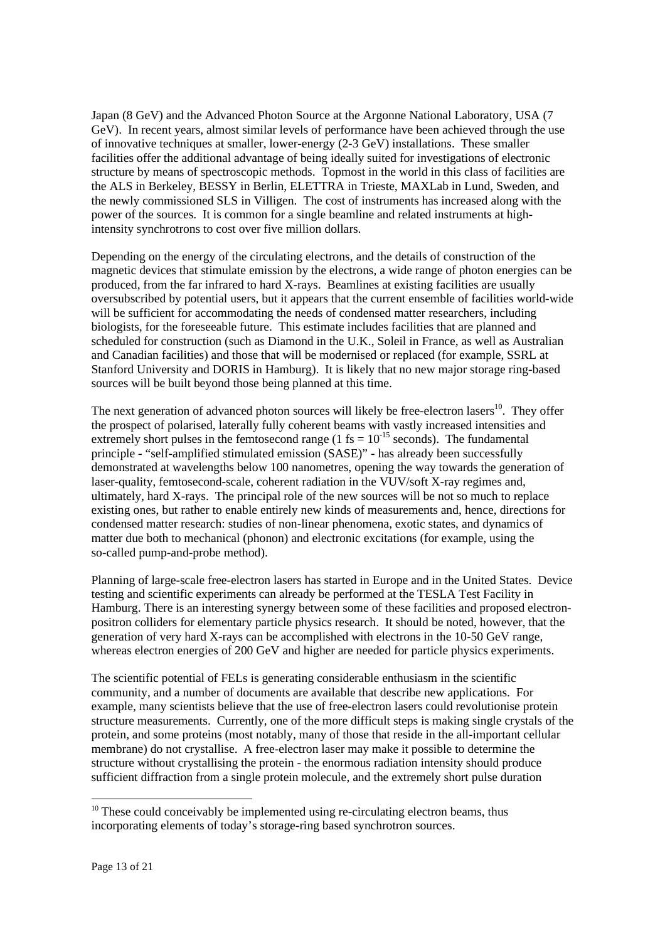Japan (8 GeV) and the Advanced Photon Source at the Argonne National Laboratory, USA (7 GeV). In recent years, almost similar levels of performance have been achieved through the use of innovative techniques at smaller, lower-energy (2-3 GeV) installations. These smaller facilities offer the additional advantage of being ideally suited for investigations of electronic structure by means of spectroscopic methods. Topmost in the world in this class of facilities are the ALS in Berkeley, BESSY in Berlin, ELETTRA in Trieste, MAXLab in Lund, Sweden, and the newly commissioned SLS in Villigen. The cost of instruments has increased along with the power of the sources. It is common for a single beamline and related instruments at highintensity synchrotrons to cost over five million dollars.

Depending on the energy of the circulating electrons, and the details of construction of the magnetic devices that stimulate emission by the electrons, a wide range of photon energies can be produced, from the far infrared to hard X-rays. Beamlines at existing facilities are usually oversubscribed by potential users, but it appears that the current ensemble of facilities world-wide will be sufficient for accommodating the needs of condensed matter researchers, including biologists, for the foreseeable future. This estimate includes facilities that are planned and scheduled for construction (such as Diamond in the U.K., Soleil in France, as well as Australian and Canadian facilities) and those that will be modernised or replaced (for example, SSRL at Stanford University and DORIS in Hamburg). It is likely that no new major storage ring-based sources will be built beyond those being planned at this time.

The next generation of advanced photon sources will likely be free-electron lasers<sup>10</sup>. They offer the prospect of polarised, laterally fully coherent beams with vastly increased intensities and extremely short pulses in the femtosecond range  $(1 \text{ fs} = 10^{-15} \text{ seconds})$ . The fundamental principle - "self-amplified stimulated emission (SASE)" - has already been successfully demonstrated at wavelengths below 100 nanometres, opening the way towards the generation of laser-quality, femtosecond-scale, coherent radiation in the VUV/soft X-ray regimes and, ultimately, hard X-rays. The principal role of the new sources will be not so much to replace existing ones, but rather to enable entirely new kinds of measurements and, hence, directions for condensed matter research: studies of non-linear phenomena, exotic states, and dynamics of matter due both to mechanical (phonon) and electronic excitations (for example, using the so-called pump-and-probe method).

Planning of large-scale free-electron lasers has started in Europe and in the United States. Device testing and scientific experiments can already be performed at the TESLA Test Facility in Hamburg. There is an interesting synergy between some of these facilities and proposed electronpositron colliders for elementary particle physics research. It should be noted, however, that the generation of very hard X-rays can be accomplished with electrons in the 10-50 GeV range, whereas electron energies of 200 GeV and higher are needed for particle physics experiments.

The scientific potential of FELs is generating considerable enthusiasm in the scientific community, and a number of documents are available that describe new applications. For example, many scientists believe that the use of free-electron lasers could revolutionise protein structure measurements. Currently, one of the more difficult steps is making single crystals of the protein, and some proteins (most notably, many of those that reside in the all-important cellular membrane) do not crystallise. A free-electron laser may make it possible to determine the structure without crystallising the protein - the enormous radiation intensity should produce sufficient diffraction from a single protein molecule, and the extremely short pulse duration

 $10$  These could conceivably be implemented using re-circulating electron beams, thus incorporating elements of today's storage-ring based synchrotron sources.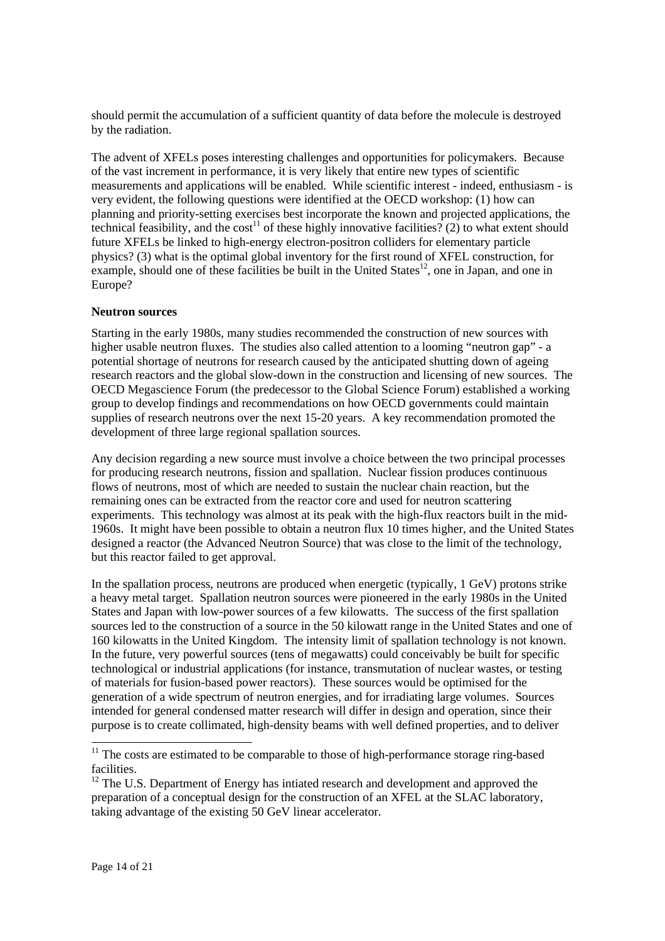should permit the accumulation of a sufficient quantity of data before the molecule is destroyed by the radiation.

The advent of XFELs poses interesting challenges and opportunities for policymakers. Because of the vast increment in performance, it is very likely that entire new types of scientific measurements and applications will be enabled. While scientific interest - indeed, enthusiasm - is very evident, the following questions were identified at the OECD workshop: (1) how can planning and priority-setting exercises best incorporate the known and projected applications, the technical feasibility, and the cost<sup>11</sup> of these highly innovative facilities? (2) to what extent should future XFELs be linked to high-energy electron-positron colliders for elementary particle physics? (3) what is the optimal global inventory for the first round of XFEL construction, for example, should one of these facilities be built in the United States<sup>12</sup>, one in Japan, and one in Europe?

### **Neutron sources**

Starting in the early 1980s, many studies recommended the construction of new sources with higher usable neutron fluxes. The studies also called attention to a looming "neutron gap" - a potential shortage of neutrons for research caused by the anticipated shutting down of ageing research reactors and the global slow-down in the construction and licensing of new sources. The OECD Megascience Forum (the predecessor to the Global Science Forum) established a working group to develop findings and recommendations on how OECD governments could maintain supplies of research neutrons over the next 15-20 years. A key recommendation promoted the development of three large regional spallation sources.

Any decision regarding a new source must involve a choice between the two principal processes for producing research neutrons, fission and spallation. Nuclear fission produces continuous flows of neutrons, most of which are needed to sustain the nuclear chain reaction, but the remaining ones can be extracted from the reactor core and used for neutron scattering experiments. This technology was almost at its peak with the high-flux reactors built in the mid-1960s. It might have been possible to obtain a neutron flux 10 times higher, and the United States designed a reactor (the Advanced Neutron Source) that was close to the limit of the technology, but this reactor failed to get approval.

In the spallation process, neutrons are produced when energetic (typically, 1 GeV) protons strike a heavy metal target. Spallation neutron sources were pioneered in the early 1980s in the United States and Japan with low-power sources of a few kilowatts. The success of the first spallation sources led to the construction of a source in the 50 kilowatt range in the United States and one of 160 kilowatts in the United Kingdom. The intensity limit of spallation technology is not known. In the future, very powerful sources (tens of megawatts) could conceivably be built for specific technological or industrial applications (for instance, transmutation of nuclear wastes, or testing of materials for fusion-based power reactors). These sources would be optimised for the generation of a wide spectrum of neutron energies, and for irradiating large volumes. Sources intended for general condensed matter research will differ in design and operation, since their purpose is to create collimated, high-density beams with well defined properties, and to deliver

-

 $11$  The costs are estimated to be comparable to those of high-performance storage ring-based facilities.

<sup>&</sup>lt;sup>12</sup> The U.S. Department of Energy has intiated research and development and approved the preparation of a conceptual design for the construction of an XFEL at the SLAC laboratory, taking advantage of the existing 50 GeV linear accelerator.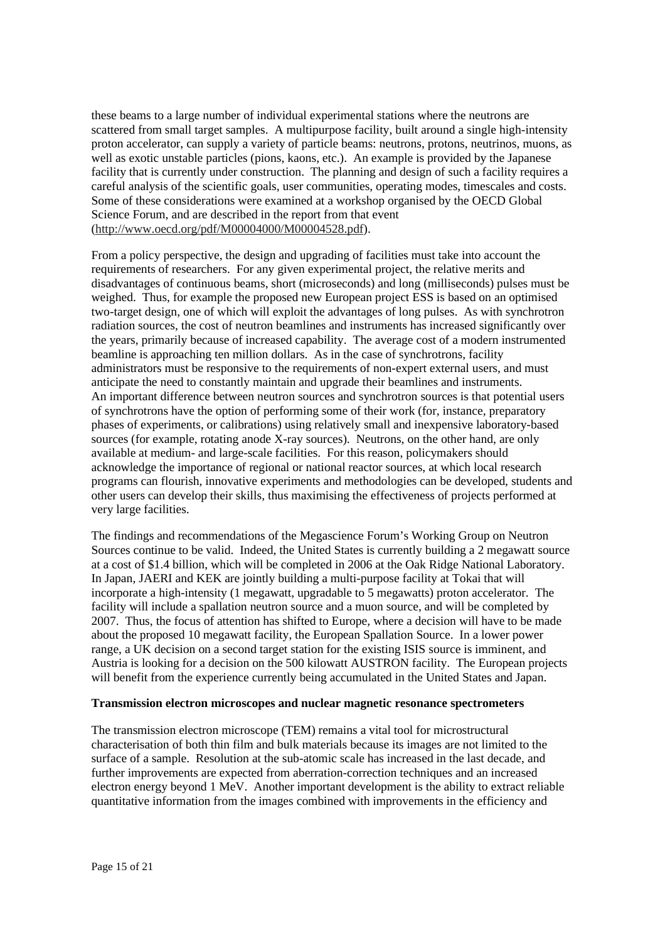these beams to a large number of individual experimental stations where the neutrons are scattered from small target samples. A multipurpose facility, built around a single high-intensity proton accelerator, can supply a variety of particle beams: neutrons, protons, neutrinos, muons, as well as exotic unstable particles (pions, kaons, etc.). An example is provided by the Japanese facility that is currently under construction. The planning and design of such a facility requires a careful analysis of the scientific goals, user communities, operating modes, timescales and costs. Some of these considerations were examined at a workshop organised by the OECD Global Science Forum, and are described in the report from that event (http://www.oecd.org/pdf/M00004000/M00004528.pdf).

From a policy perspective, the design and upgrading of facilities must take into account the requirements of researchers. For any given experimental project, the relative merits and disadvantages of continuous beams, short (microseconds) and long (milliseconds) pulses must be weighed. Thus, for example the proposed new European project ESS is based on an optimised two-target design, one of which will exploit the advantages of long pulses. As with synchrotron radiation sources, the cost of neutron beamlines and instruments has increased significantly over the years, primarily because of increased capability. The average cost of a modern instrumented beamline is approaching ten million dollars. As in the case of synchrotrons, facility administrators must be responsive to the requirements of non-expert external users, and must anticipate the need to constantly maintain and upgrade their beamlines and instruments. An important difference between neutron sources and synchrotron sources is that potential users of synchrotrons have the option of performing some of their work (for, instance, preparatory phases of experiments, or calibrations) using relatively small and inexpensive laboratory-based sources (for example, rotating anode X-ray sources). Neutrons, on the other hand, are only available at medium- and large-scale facilities. For this reason, policymakers should acknowledge the importance of regional or national reactor sources, at which local research programs can flourish, innovative experiments and methodologies can be developed, students and other users can develop their skills, thus maximising the effectiveness of projects performed at very large facilities.

The findings and recommendations of the Megascience Forum's Working Group on Neutron Sources continue to be valid. Indeed, the United States is currently building a 2 megawatt source at a cost of \$1.4 billion, which will be completed in 2006 at the Oak Ridge National Laboratory. In Japan, JAERI and KEK are jointly building a multi-purpose facility at Tokai that will incorporate a high-intensity (1 megawatt, upgradable to 5 megawatts) proton accelerator. The facility will include a spallation neutron source and a muon source, and will be completed by 2007. Thus, the focus of attention has shifted to Europe, where a decision will have to be made about the proposed 10 megawatt facility, the European Spallation Source. In a lower power range, a UK decision on a second target station for the existing ISIS source is imminent, and Austria is looking for a decision on the 500 kilowatt AUSTRON facility. The European projects will benefit from the experience currently being accumulated in the United States and Japan.

### **Transmission electron microscopes and nuclear magnetic resonance spectrometers**

The transmission electron microscope (TEM) remains a vital tool for microstructural characterisation of both thin film and bulk materials because its images are not limited to the surface of a sample. Resolution at the sub-atomic scale has increased in the last decade, and further improvements are expected from aberration-correction techniques and an increased electron energy beyond 1 MeV. Another important development is the ability to extract reliable quantitative information from the images combined with improvements in the efficiency and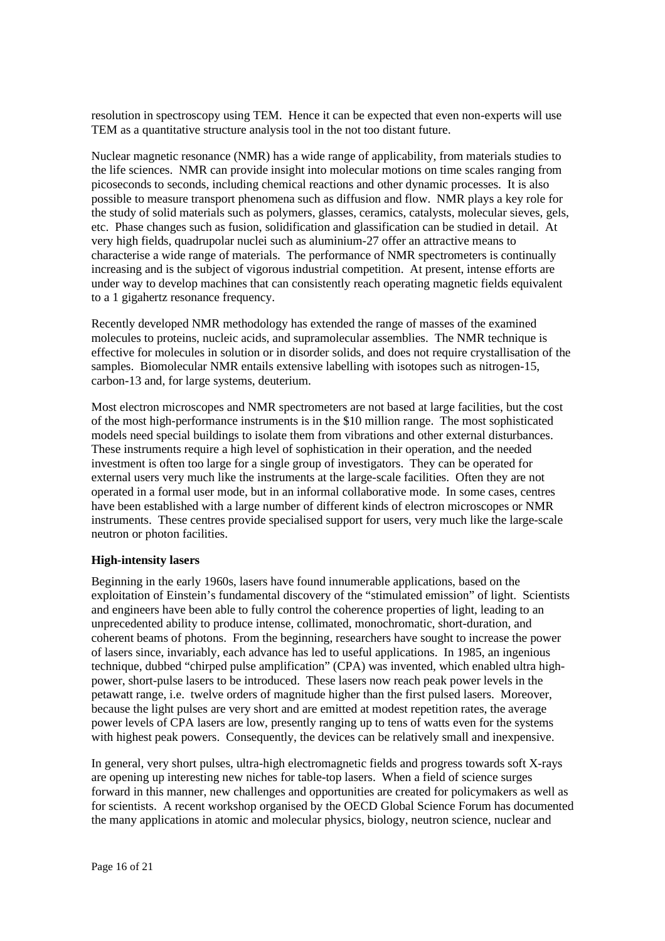resolution in spectroscopy using TEM. Hence it can be expected that even non-experts will use TEM as a quantitative structure analysis tool in the not too distant future.

Nuclear magnetic resonance (NMR) has a wide range of applicability, from materials studies to the life sciences. NMR can provide insight into molecular motions on time scales ranging from picoseconds to seconds, including chemical reactions and other dynamic processes. It is also possible to measure transport phenomena such as diffusion and flow. NMR plays a key role for the study of solid materials such as polymers, glasses, ceramics, catalysts, molecular sieves, gels, etc. Phase changes such as fusion, solidification and glassification can be studied in detail. At very high fields, quadrupolar nuclei such as aluminium-27 offer an attractive means to characterise a wide range of materials. The performance of NMR spectrometers is continually increasing and is the subject of vigorous industrial competition. At present, intense efforts are under way to develop machines that can consistently reach operating magnetic fields equivalent to a 1 gigahertz resonance frequency.

Recently developed NMR methodology has extended the range of masses of the examined molecules to proteins, nucleic acids, and supramolecular assemblies. The NMR technique is effective for molecules in solution or in disorder solids, and does not require crystallisation of the samples. Biomolecular NMR entails extensive labelling with isotopes such as nitrogen-15, carbon-13 and, for large systems, deuterium.

Most electron microscopes and NMR spectrometers are not based at large facilities, but the cost of the most high-performance instruments is in the \$10 million range. The most sophisticated models need special buildings to isolate them from vibrations and other external disturbances. These instruments require a high level of sophistication in their operation, and the needed investment is often too large for a single group of investigators. They can be operated for external users very much like the instruments at the large-scale facilities. Often they are not operated in a formal user mode, but in an informal collaborative mode. In some cases, centres have been established with a large number of different kinds of electron microscopes or NMR instruments. These centres provide specialised support for users, very much like the large-scale neutron or photon facilities.

# **High-intensity lasers**

Beginning in the early 1960s, lasers have found innumerable applications, based on the exploitation of Einstein's fundamental discovery of the "stimulated emission" of light. Scientists and engineers have been able to fully control the coherence properties of light, leading to an unprecedented ability to produce intense, collimated, monochromatic, short-duration, and coherent beams of photons. From the beginning, researchers have sought to increase the power of lasers since, invariably, each advance has led to useful applications. In 1985, an ingenious technique, dubbed "chirped pulse amplification" (CPA) was invented, which enabled ultra highpower, short-pulse lasers to be introduced. These lasers now reach peak power levels in the petawatt range, i.e. twelve orders of magnitude higher than the first pulsed lasers. Moreover, because the light pulses are very short and are emitted at modest repetition rates, the average power levels of CPA lasers are low, presently ranging up to tens of watts even for the systems with highest peak powers. Consequently, the devices can be relatively small and inexpensive.

In general, very short pulses, ultra-high electromagnetic fields and progress towards soft X-rays are opening up interesting new niches for table-top lasers. When a field of science surges forward in this manner, new challenges and opportunities are created for policymakers as well as for scientists. A recent workshop organised by the OECD Global Science Forum has documented the many applications in atomic and molecular physics, biology, neutron science, nuclear and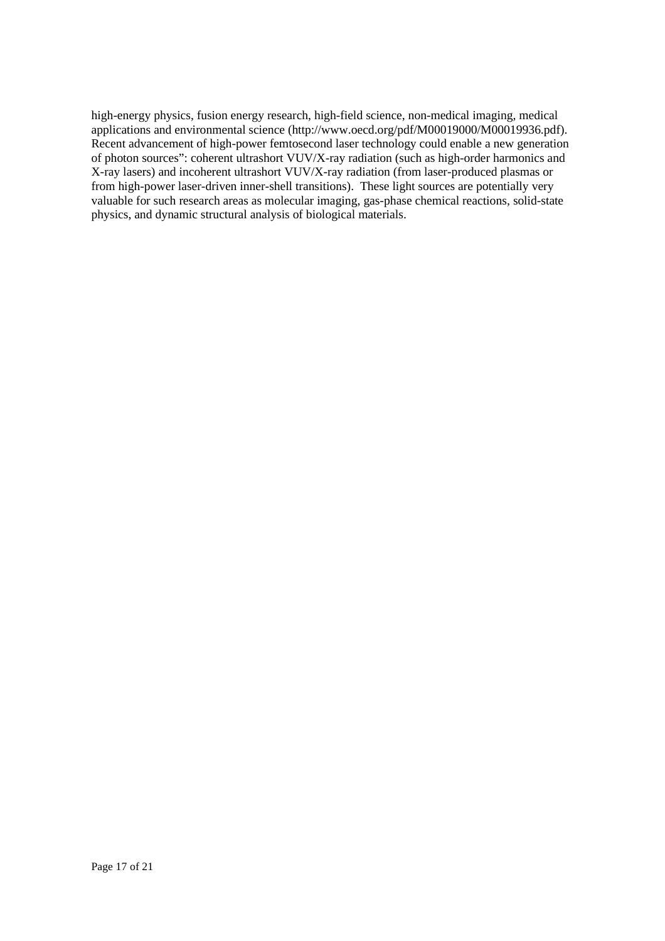high-energy physics, fusion energy research, high-field science, non-medical imaging, medical applications and environmental science (http://www.oecd.org/pdf/M00019000/M00019936.pdf). Recent advancement of high-power femtosecond laser technology could enable a new generation of photon sources": coherent ultrashort VUV/X-ray radiation (such as high-order harmonics and X-ray lasers) and incoherent ultrashort VUV/X-ray radiation (from laser-produced plasmas or from high-power laser-driven inner-shell transitions). These light sources are potentially very valuable for such research areas as molecular imaging, gas-phase chemical reactions, solid-state physics, and dynamic structural analysis of biological materials.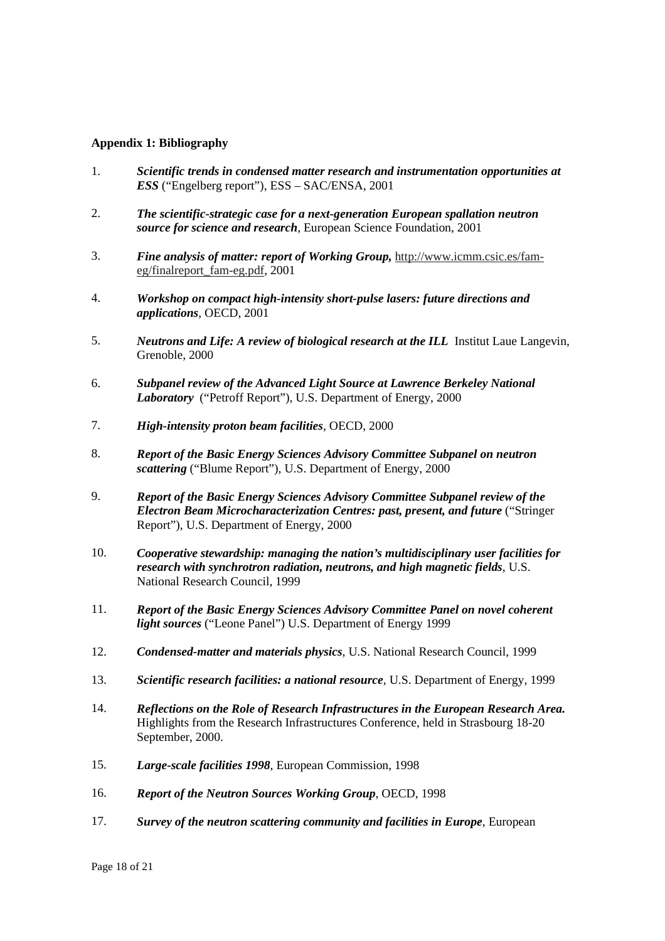## **Appendix 1: Bibliography**

- 1. *Scientific trends in condensed matter research and instrumentation opportunities at ESS* ("Engelberg report"), ESS – SAC/ENSA, 2001
- 2. *The scientific-strategic case for a next-generation European spallation neutron source for science and research*, European Science Foundation, 2001
- 3. *Fine analysis of matter: report of Working Group,* http://www.icmm.csic.es/fameg/finalreport\_fam-eg.pdf, 2001
- 4. *Workshop on compact high-intensity short-pulse lasers: future directions and applications*, OECD, 2001
- 5. *Neutrons and Life: A review of biological research at the ILL* Institut Laue Langevin, Grenoble, 2000
- 6. *Subpanel review of the Advanced Light Source at Lawrence Berkeley National Laboratory* ("Petroff Report"), U.S. Department of Energy, 2000
- 7. *High-intensity proton beam facilities,* OECD, 2000
- 8. *Report of the Basic Energy Sciences Advisory Committee Subpanel on neutron scattering* ("Blume Report"), U.S. Department of Energy, 2000
- 9. *Report of the Basic Energy Sciences Advisory Committee Subpanel review of the Electron Beam Microcharacterization Centres: past, present, and future* ("Stringer Report"), U.S. Department of Energy, 2000
- 10. *Cooperative stewardship: managing the nation's multidisciplinary user facilities for research with synchrotron radiation, neutrons, and high magnetic fields*, U.S. National Research Council, 1999
- 11. *Report of the Basic Energy Sciences Advisory Committee Panel on novel coherent light sources* ("Leone Panel") U.S. Department of Energy 1999
- 12. *Condensed-matter and materials physics,* U.S. National Research Council, 1999
- 13. *Scientific research facilities: a national resource*, U.S. Department of Energy, 1999
- 14. *Reflections on the Role of Research Infrastructures in the European Research Area.* Highlights from the Research Infrastructures Conference, held in Strasbourg 18-20 September, 2000.
- 15. *Large-scale facilities 1998*, European Commission, 1998
- 16. *Report of the Neutron Sources Working Group*, OECD, 1998
- 17. *Survey of the neutron scattering community and facilities in Europe*, European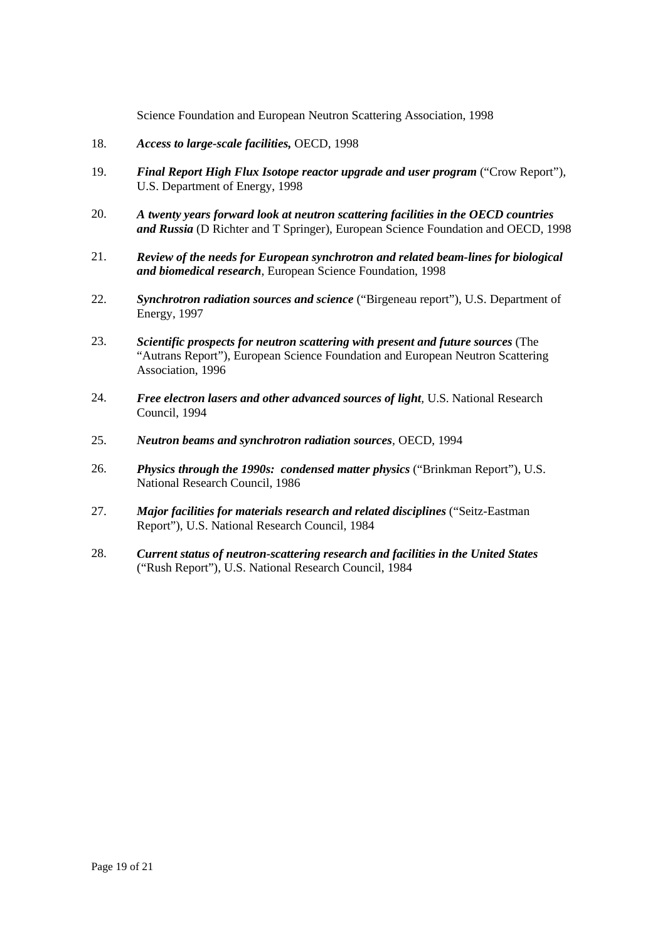Science Foundation and European Neutron Scattering Association, 1998

- 18. *Access to large-scale facilities,* OECD, 1998
- 19. *Final Report High Flux Isotope reactor upgrade and user program* ("Crow Report"), U.S. Department of Energy, 1998
- 20. *A twenty years forward look at neutron scattering facilities in the OECD countries and Russia* (D Richter and T Springer), European Science Foundation and OECD, 1998
- 21. *Review of the needs for European synchrotron and related beam-lines for biological and biomedical research*, European Science Foundation, 1998
- 22. *Synchrotron radiation sources and science* ("Birgeneau report"), U.S. Department of Energy, 1997
- 23. *Scientific prospects for neutron scattering with present and future sources* (The "Autrans Report"), European Science Foundation and European Neutron Scattering Association, 1996
- 24. *Free electron lasers and other advanced sources of light,* U.S. National Research Council, 1994
- 25. *Neutron beams and synchrotron radiation sources,* OECD, 1994
- 26. *Physics through the 1990s: condensed matter physics* ("Brinkman Report"), U.S. National Research Council, 1986
- 27. *Major facilities for materials research and related disciplines* ("Seitz-Eastman Report"), U.S. National Research Council, 1984
- 28. *Current status of neutron-scattering research and facilities in the United States* ("Rush Report"), U.S. National Research Council, 1984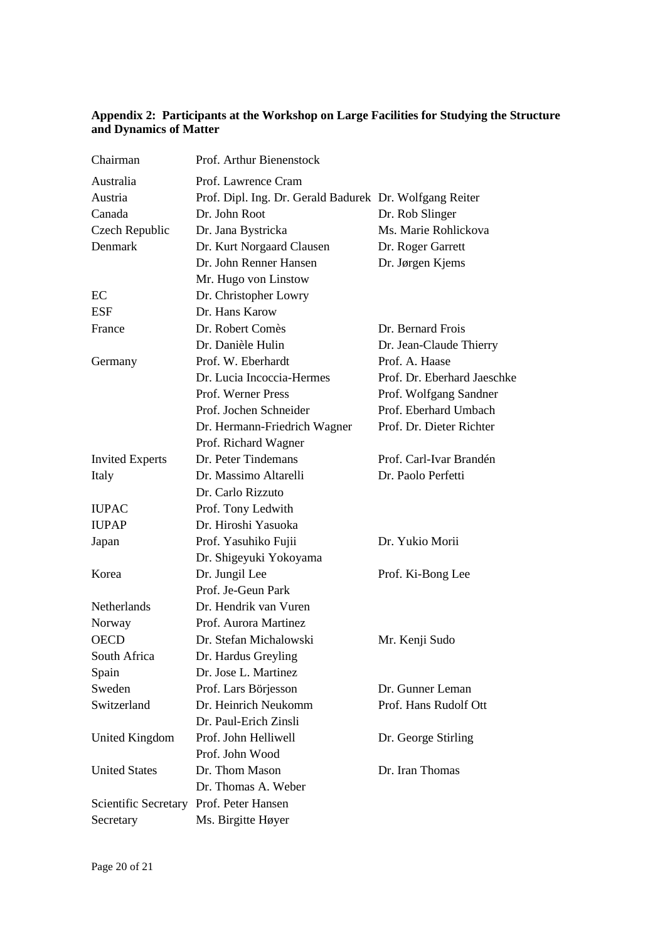## **Appendix 2: Participants at the Workshop on Large Facilities for Studying the Structure and Dynamics of Matter**

| Chairman                                | Prof. Arthur Bienenstock                                |                             |
|-----------------------------------------|---------------------------------------------------------|-----------------------------|
| Australia                               | Prof. Lawrence Cram                                     |                             |
| Austria                                 | Prof. Dipl. Ing. Dr. Gerald Badurek Dr. Wolfgang Reiter |                             |
| Canada                                  | Dr. John Root                                           | Dr. Rob Slinger             |
| Czech Republic                          | Dr. Jana Bystricka                                      | Ms. Marie Rohlickova        |
| Denmark                                 | Dr. Kurt Norgaard Clausen                               | Dr. Roger Garrett           |
|                                         | Dr. John Renner Hansen                                  | Dr. Jørgen Kjems            |
|                                         | Mr. Hugo von Linstow                                    |                             |
| EC                                      | Dr. Christopher Lowry                                   |                             |
| <b>ESF</b>                              | Dr. Hans Karow                                          |                             |
| France                                  | Dr. Robert Comès                                        | Dr. Bernard Frois           |
|                                         | Dr. Danièle Hulin                                       | Dr. Jean-Claude Thierry     |
| Germany                                 | Prof. W. Eberhardt                                      | Prof. A. Haase              |
|                                         | Dr. Lucia Incoccia-Hermes                               | Prof. Dr. Eberhard Jaeschke |
|                                         | Prof. Werner Press                                      | Prof. Wolfgang Sandner      |
|                                         | Prof. Jochen Schneider                                  | Prof. Eberhard Umbach       |
|                                         | Dr. Hermann-Friedrich Wagner                            | Prof. Dr. Dieter Richter    |
|                                         | Prof. Richard Wagner                                    |                             |
| <b>Invited Experts</b>                  | Dr. Peter Tindemans                                     | Prof. Carl-Ivar Brandén     |
| Italy                                   | Dr. Massimo Altarelli                                   | Dr. Paolo Perfetti          |
|                                         | Dr. Carlo Rizzuto                                       |                             |
| <b>IUPAC</b>                            | Prof. Tony Ledwith                                      |                             |
| <b>IUPAP</b>                            | Dr. Hiroshi Yasuoka                                     |                             |
| Japan                                   | Prof. Yasuhiko Fujii                                    | Dr. Yukio Morii             |
|                                         | Dr. Shigeyuki Yokoyama                                  |                             |
| Korea                                   | Dr. Jungil Lee                                          | Prof. Ki-Bong Lee           |
|                                         | Prof. Je-Geun Park                                      |                             |
| Netherlands                             | Dr. Hendrik van Vuren                                   |                             |
| Norway                                  | Prof. Aurora Martinez                                   |                             |
| <b>OECD</b>                             | Dr. Stefan Michalowski                                  | Mr. Kenji Sudo              |
| South Africa                            | Dr. Hardus Greyling                                     |                             |
| Spain                                   | Dr. Jose L. Martinez                                    |                             |
| Sweden                                  | Prof. Lars Börjesson                                    | Dr. Gunner Leman            |
| Switzerland                             | Dr. Heinrich Neukomm                                    | Prof. Hans Rudolf Ott       |
|                                         | Dr. Paul-Erich Zinsli                                   |                             |
| <b>United Kingdom</b>                   | Prof. John Helliwell                                    | Dr. George Stirling         |
|                                         | Prof. John Wood                                         |                             |
| <b>United States</b>                    | Dr. Thom Mason                                          | Dr. Iran Thomas             |
|                                         | Dr. Thomas A. Weber                                     |                             |
| Scientific Secretary Prof. Peter Hansen |                                                         |                             |
| Secretary                               | Ms. Birgitte Høyer                                      |                             |